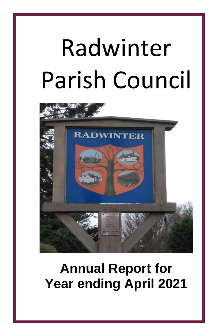# Radwinter Parish Council



## **Annual Report for Year ending April 2021**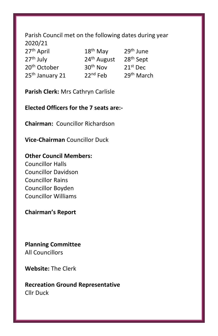### Parish Council met on the following dates during year 2020/21  $27<sup>th</sup>$  April  $18<sup>th</sup>$  May  $29<sup>th</sup>$  June<br> $27<sup>th</sup>$  July  $24<sup>th</sup>$  August  $28<sup>th</sup>$  Sept  $24<sup>th</sup>$  August 28<sup>th</sup> Sept  $20^{\text{th}}$  October  $30^{\text{th}}$  Nov  $21^{\text{st}}$  Dec 25<sup>th</sup> January 21 22<sup>nd</sup> Feb 29<sup>th</sup> March

**Parish Clerk:** Mrs Cathryn Carlisle

**Elected Officers for the 7 seats are:-**

**Chairman:** Councillor Richardson

**Vice-Chairman** Councillor Duck

#### **Other Council Members:**

Councillor Halls Councillor Davidson Councillor Rains Councillor Boyden Councillor Williams

**Chairman's Report**

**Planning Committee**  All Councillors

**Website:** The Clerk

**Recreation Ground Representative** Cllr Duck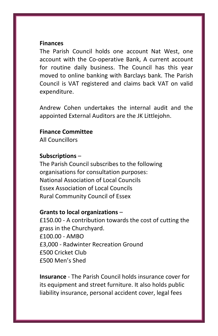#### **Finances**

The Parish Council holds one account Nat West, one account with the Co-operative Bank, A current account for routine daily business. The Council has this year moved to online banking with Barclays bank. The Parish Council is VAT registered and claims back VAT on valid expenditure.

Andrew Cohen undertakes the internal audit and the appointed External Auditors are the JK Littlejohn.

#### **Finance Committee**

All Councillors

#### **Subscriptions** –

The Parish Council subscribes to the following organisations for consultation purposes: National Association of Local Councils Essex Association of Local Councils Rural Community Council of Essex

#### **Grants to local organizations** –

£150.00 - A contribution towards the cost of cutting the grass in the Churchyard. £100.00 - AMBO £3,000 - Radwinter Recreation Ground £500 Cricket Club £500 Men's Shed

**Insurance** - The Parish Council holds insurance cover for its equipment and street furniture. It also holds public liability insurance, personal accident cover, legal fees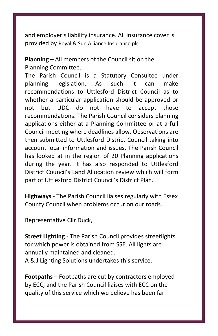and employer's liability insurance. All insurance cover is provided by Royal & Sun Alliance Insurance plc

**Planning –** All members of the Council sit on the Planning Committee.

The Parish Council is a Statutory Consultee under planning legislation. As such it can make recommendations to Uttlesford District Council as to whether a particular application should be approved or not but UDC do not have to accept those recommendations. The Parish Council considers planning applications either at a Planning Committee or at a full Council meeting where deadlines allow. Observations are then submitted to Uttlesford District Council taking into account local information and issues. The Parish Council has looked at in the region of 20 Planning applications during the year. It has also responded to Uttlesford District Council's Land Allocation review which will form part of Uttlesford District Council's District Plan.

**Highways** - The Parish Council liaises regularly with Essex County Council when problems occur on our roads.

Representative Cllr Duck,

**Street Lighting** - The Parish Council provides streetlights for which power is obtained from SSE. All lights are annually maintained and cleaned. A & J Lighting Solutions undertakes this service.

**Footpaths** – Footpaths are cut by contractors employed by ECC, and the Parish Council liaises with ECC on the quality of this service which we believe has been far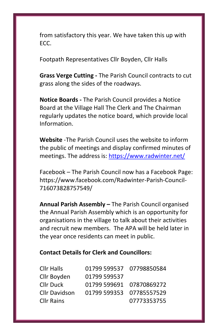from satisfactory this year. We have taken this up with ECC.

Footpath Representatives Cllr Boyden, Cllr Halls

**Grass Verge Cutting -** The Parish Council contracts to cut grass along the sides of the roadways.

**Notice Boards -** The Parish Council provides a Notice Board at the Village Hall The Clerk and The Chairman regularly updates the notice board, which provide local Information.

**Website** -The Parish Council uses the website to inform the public of meetings and display confirmed minutes of meetings. The address is:<https://www.radwinter.net/>

Facebook – The Parish Council now has a Facebook Page: https://www.facebook.com/Radwinter-Parish-Council-716073828757549/

**Annual Parish Assembly –** The Parish Council organised the Annual Parish Assembly which is an opportunity for organisations in the village to talk about their activities and recruit new members. The APA will be held later in the year once residents can meet in public.

#### **Contact Details for Clerk and Councillors:**

| <b>Cllr Halls</b>    | 01799 599537 07798850584 |             |
|----------------------|--------------------------|-------------|
| Cllr Boyden          | 01799 599537             |             |
| <b>Cllr Duck</b>     | 01799 599691 07870869272 |             |
| <b>Cllr Davidson</b> | 01799 599353 07785557529 |             |
| <b>Cllr Rains</b>    |                          | 07773353755 |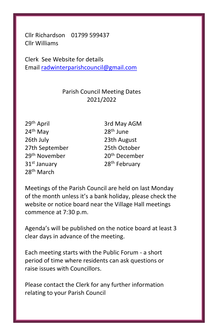Cllr Richardson 01799 599437 Cllr Williams

Clerk See Website for details Email [radwinterparishcouncil@gmail.com](mailto:radwinterparishcouncil@gmail.com)

#### Parish Council Meeting Dates 2021/2022

24 th May 28 26th July 23th August 27th September 25th October 29<sup>th</sup> November  $31<sup>st</sup>$  January 28<sup>th</sup> February 28th March

29<sup>th</sup> April 3rd May AGM 28<sup>th</sup> June 20<sup>th</sup> December

Meetings of the Parish Council are held on last Monday of the month unless it's a bank holiday, please check the website or notice board near the Village Hall meetings commence at 7:30 p.m.

Agenda's will be published on the notice board at least 3 clear days in advance of the meeting.

Each meeting starts with the Public Forum - a short period of time where residents can ask questions or raise issues with Councillors.

Please contact the Clerk for any further information relating to your Parish Council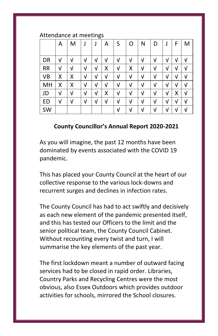#### Attendance at meetings

|           | A | M | J | J | Α | S | O | Ν | D | J | F | M |
|-----------|---|---|---|---|---|---|---|---|---|---|---|---|
|           |   |   |   |   |   |   |   |   |   |   |   |   |
| DR        | V | V | V | V | ν | V | V | V | V | V | V | ν |
| <b>RR</b> | V | V | V | V | х | V | χ | V | V | ν | ν | V |
| VB        | Χ | Χ | V | V | V | V | V | V | V | V | V | V |
| MH        | Χ | Χ | V | V | ν | V | V | V | V | V | ν | ν |
| JD        | V | V | V | ν | х | V | V | V | V | V | χ | ν |
| ED        | V | ν | ν | ν | V | V | V | V | V | V | ν | ν |
| SW        |   |   |   |   |   | V | V | V | V | V | ν | V |

#### **County Councillor's Annual Report 2020-2021**

As you will imagine, the past 12 months have been dominated by events associated with the COVID 19 pandemic.

This has placed your County Council at the heart of our collective response to the various lock-downs and recurrent surges and declines in infection rates.

The County Council has had to act swiftly and decisively as each new element of the pandemic presented itself, and this has tested our Officers to the limit and the senior political team, the County Council Cabinet. Without recounting every twist and turn, I will summarise the key elements of the past year.

The first lockdown meant a number of outward facing services had to be closed in rapid order. Libraries, Country Parks and Recycling Centres were the most obvious, also Essex Outdoors which provides outdoor activities for schools, mirrored the School closures.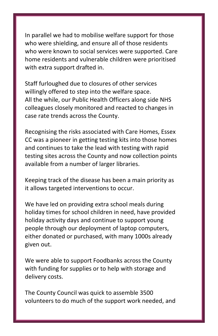In parallel we had to mobilise welfare support for those who were shielding, and ensure all of those residents who were known to social services were supported. Care home residents and vulnerable children were prioritised with extra support drafted in.

Staff furloughed due to closures of other services willingly offered to step into the welfare space. All the while, our Public Health Officers along side NHS colleagues closely monitored and reacted to changes in case rate trends across the County.

Recognising the risks associated with Care Homes, Essex CC was a pioneer in getting testing kits into those homes and continues to take the lead with testing with rapid testing sites across the County and now collection points available from a number of larger libraries.

Keeping track of the disease has been a main priority as it allows targeted interventions to occur.

We have led on providing extra school meals during holiday times for school children in need, have provided holiday activity days and continue to support young people through our deployment of laptop computers, either donated or purchased, with many 1000s already given out.

We were able to support Foodbanks across the County with funding for supplies or to help with storage and delivery costs.

The County Council was quick to assemble 3500 volunteers to do much of the support work needed, and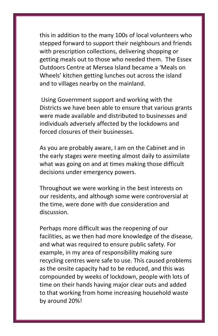this in addition to the many 100s of local volunteers who stepped forward to support their neighbours and friends with prescription collections, delivering shopping or getting meals out to those who needed them. The Essex Outdoors Centre at Mersea Island became a 'Meals on Wheels' kitchen getting lunches out across the island and to villages nearby on the mainland.

Using Government support and working with the Districts we have been able to ensure that various grants were made available and distributed to businesses and individuals adversely affected by the lockdowns and forced closures of their businesses.

As you are probably aware, I am on the Cabinet and in the early stages were meeting almost daily to assimilate what was going on and at times making those difficult decisions under emergency powers.

Throughout we were working in the best interests on our residents, and although some were controversial at the time, were done with due consideration and discussion.

Perhaps more difficult was the reopening of our facilities, as we then had more knowledge of the disease, and what was required to ensure public safety. For example, in my area of responsibility making sure recycling centres were safe to use. This caused problems as the onsite capacity had to be reduced, and this was compounded by weeks of lockdown, people with lots of time on their hands having major clear outs and added to that working from home increasing household waste by around 20%!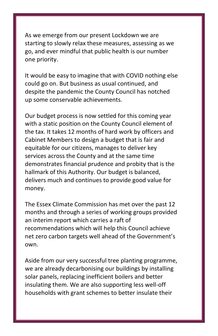As we emerge from our present Lockdown we are starting to slowly relax these measures, assessing as we go, and ever mindful that public health is our number one priority.

It would be easy to imagine that with COVID nothing else could go on. But business as usual continued, and despite the pandemic the County Council has notched up some conservable achievements.

Our budget process is now settled for this coming year with a static position on the County Council element of the tax. It takes 12 months of hard work by officers and Cabinet Members to design a budget that is fair and equitable for our citizens, manages to deliver key services across the County and at the same time demonstrates financial prudence and probity that is the hallmark of this Authority. Our budget is balanced, delivers much and continues to provide good value for money.

The Essex Climate Commission has met over the past 12 months and through a series of working groups provided an interim report which carries a raft of recommendations which will help this Council achieve net zero carbon targets well ahead of the Government's own.

Aside from our very successful tree planting programme, we are already decarbonising our buildings by installing solar panels, replacing inefficient boilers and better insulating them. We are also supporting less well-off households with grant schemes to better insulate their